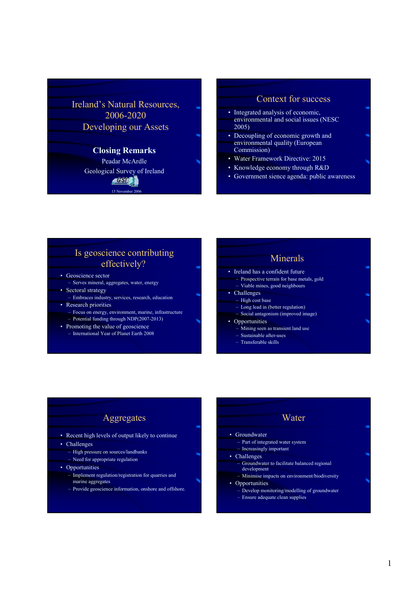Ireland's Natural Resources, 2006-2020 Developing our Assets

#### Closing Remarks Peadar McArdle

Geological Survey of Ireland GSL  $15$  November

#### Context for success

- Integrated analysis of economic, environmental and social issues (NESC 2005)
- Decoupling of economic growth and environmental quality (European Commission)
- Water Framework Directive: 2015
- Knowledge economy through R&D
- Government sience agenda: public awareness

## Is geoscience contributing effectively?

- Geoscience sector
- Serves mineral, aggregates, water, energy • Sectoral strategy
- Embraces industry, services, research, education • Research priorities
	- Focus on energy, environment, marine, infrastructure – Potential funding through NDP(2007-2013)
- Promoting the value of geoscience
	- International Year of Planet Earth 2008

### Minerals

- Ireland has a confident future – Prospective terrain for base metals, gold
- Viable mines, good neighbours
- Challenges
- High cost base
	- Long lead in (better regulation)
	- Social antagonism (improved image)
- Opportunities
	- Mining seen as transient land use
	- Sustainable after-uses – Transferable skills

### Aggregates

- Recent high levels of output likely to continue
- Challenges
	- High pressure on sources/landbanks
	- Need for appropriate regulation
- Opportunities
	- Implement regulation/registration for quarries and marine aggregates
	- Provide geoscience information, onshore and offshore.

#### Water **Groundwater** – Part of integrated water system – Increasingly important • Challenges – Groundwater to facilitate balanced regional development – Minimise impacts on environment/biodiversity

- Opportunities
- Develop monitoring/modelling of groundwater
- Ensure adequate clean supplies